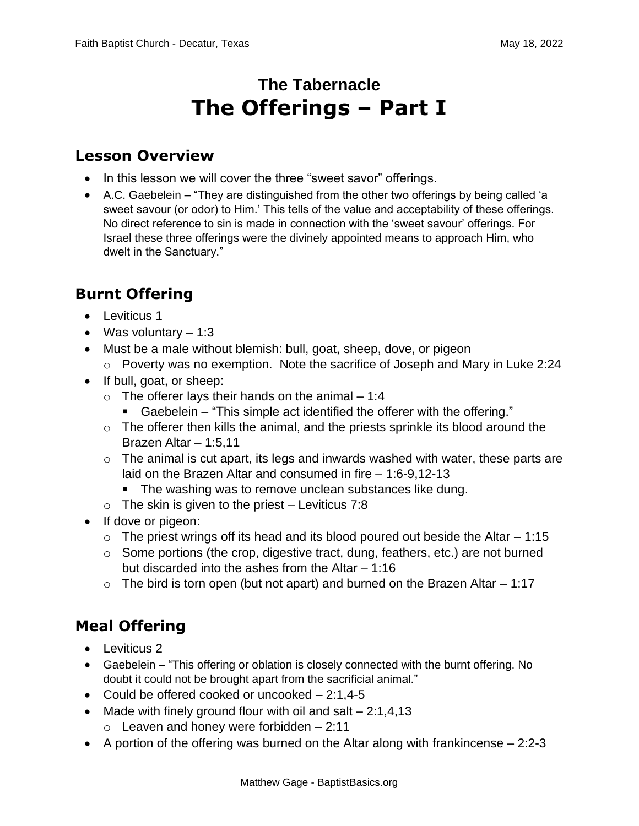# **The Tabernacle The Offerings – Part I**

#### **Lesson Overview**

- In this lesson we will cover the three "sweet savor" offerings.
- A.C. Gaebelein "They are distinguished from the other two offerings by being called 'a sweet savour (or odor) to Him.' This tells of the value and acceptability of these offerings. No direct reference to sin is made in connection with the 'sweet savour' offerings. For Israel these three offerings were the divinely appointed means to approach Him, who dwelt in the Sanctuary."

### **Burnt Offering**

- Leviticus 1
- Was voluntary  $-1:3$
- Must be a male without blemish: bull, goat, sheep, dove, or pigeon
	- o Poverty was no exemption. Note the sacrifice of Joseph and Mary in Luke 2:24
- If bull, goat, or sheep:
	- $\circ$  The offerer lays their hands on the animal 1:4
		- Gaebelein "This simple act identified the offerer with the offering."
	- $\circ$  The offerer then kills the animal, and the priests sprinkle its blood around the Brazen Altar – 1:5,11
	- $\circ$  The animal is cut apart, its legs and inwards washed with water, these parts are laid on the Brazen Altar and consumed in fire – 1:6-9,12-13
		- The washing was to remove unclean substances like dung.
	- $\circ$  The skin is given to the priest Leviticus 7:8
- If dove or pigeon:
	- $\circ$  The priest wrings off its head and its blood poured out beside the Altar 1:15
	- $\circ$  Some portions (the crop, digestive tract, dung, feathers, etc.) are not burned but discarded into the ashes from the Altar – 1:16
	- $\circ$  The bird is torn open (but not apart) and burned on the Brazen Altar  $-1:17$

## **Meal Offering**

- Leviticus 2
- Gaebelein "This offering or oblation is closely connected with the burnt offering. No doubt it could not be brought apart from the sacrificial animal."
- Could be offered cooked or uncooked 2:1,4-5
- Made with finely ground flour with oil and salt  $-2:1,4,13$ 
	- $\circ$  Leaven and honey were forbidden  $-2:11$
- A portion of the offering was burned on the Altar along with frankincense 2:2-3